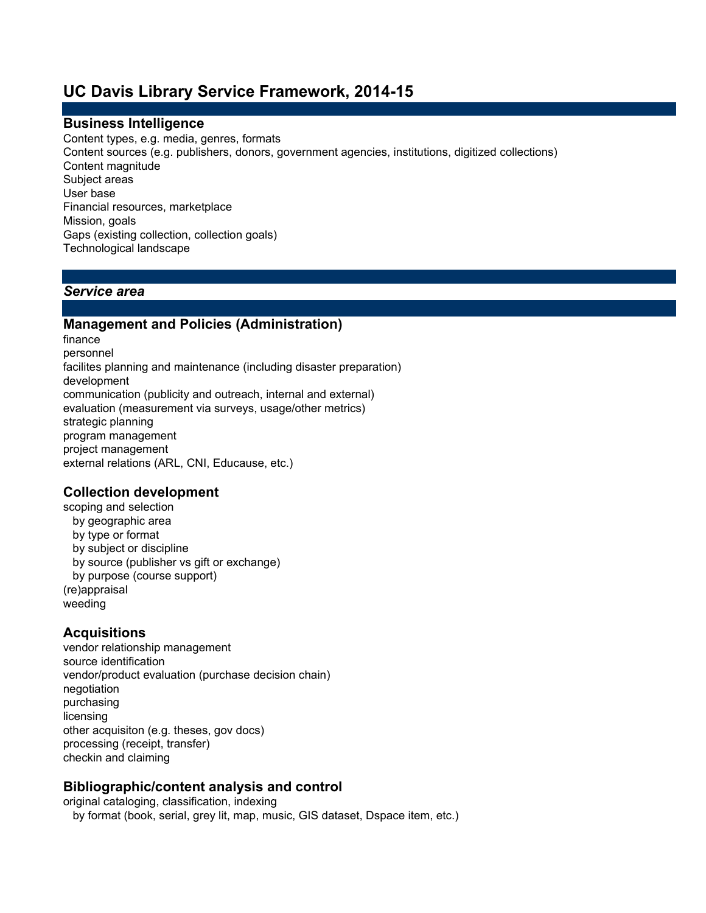# **UC Davis Library Service Framework, 2014-15**

#### **Business Intelligence**

Content types, e.g. media, genres, formats Content sources (e.g. publishers, donors, government agencies, institutions, digitized collections) Content magnitude Subject areas User base Financial resources, marketplace Mission, goals Gaps (existing collection, collection goals) Technological landscape

#### *Service area*

#### **Management and Policies (Administration)**

finance personnel development communication (publicity and outreach, internal and external) evaluation (measurement via surveys, usage/other metrics) strategic planning program management project management facilites planning and maintenance (including disaster preparation) external relations (ARL, CNI, Educause, etc.)

#### **Collection development**

scoping and selection by geographic area by type or format by subject or discipline by source (publisher vs gift or exchange) by purpose (course support) (re)appraisal weeding

#### **Acquisitions**

vendor relationship management source identification vendor/product evaluation (purchase decision chain) negotiation purchasing licensing processing (receipt, transfer) checkin and claiming other acquisiton (e.g. theses, gov docs)

#### **Bibliographic/content analysis and control**

original cataloging, classification, indexing by format (book, serial, grey lit, map, music, GIS dataset, Dspace item, etc.)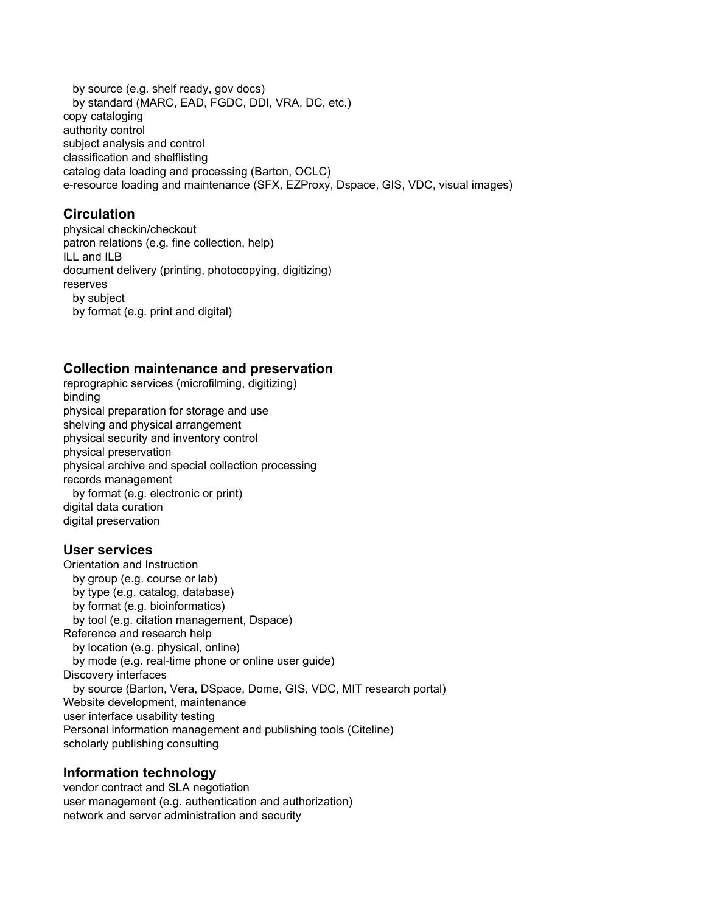by source (e.g. shelf ready, gov docs) by standard (MARC, EAD, FGDC, DDI, VRA, DC, etc.) copy cataloging authority control subject analysis and control catalog data loading and processing (Barton, OCLC) classification and shelflisting e-resource loading and maintenance (SFX, EZProxy, Dspace, GIS, VDC, visual images)

### **Circulation**

physical checkin/checkout patron relations (e.g. fine collection, help) ILL and ILB document delivery (printing, photocopying, digitizing) reserves by subject by format (e.g. print and digital)

#### **Collection maintenance and preservation**

reprographic services (microfilming, digitizing) binding physical preparation for storage and use shelving and physical arrangement physical security and inventory control physical preservation physical archive and special collection processing records management by format (e.g. electronic or print) digital data curation digital preservation

#### **User services**

Orientation and Instruction by group (e.g. course or lab) by type (e.g. catalog, database) by format (e.g. bioinformatics) Reference and research help by location (e.g. physical, online) by mode (e.g. real-time phone or online user guide) Discovery interfaces Website development, maintenance user interface usability testing scholarly publishing consulting by tool (e.g. citation management, Dspace) by source (Barton, Vera, DSpace, Dome, GIS, VDC, MIT research portal) Personal information management and publishing tools (Citeline)

#### **Information technology**

vendor contract and SLA negotiation user management (e.g. authentication and authorization) network and server administration and security